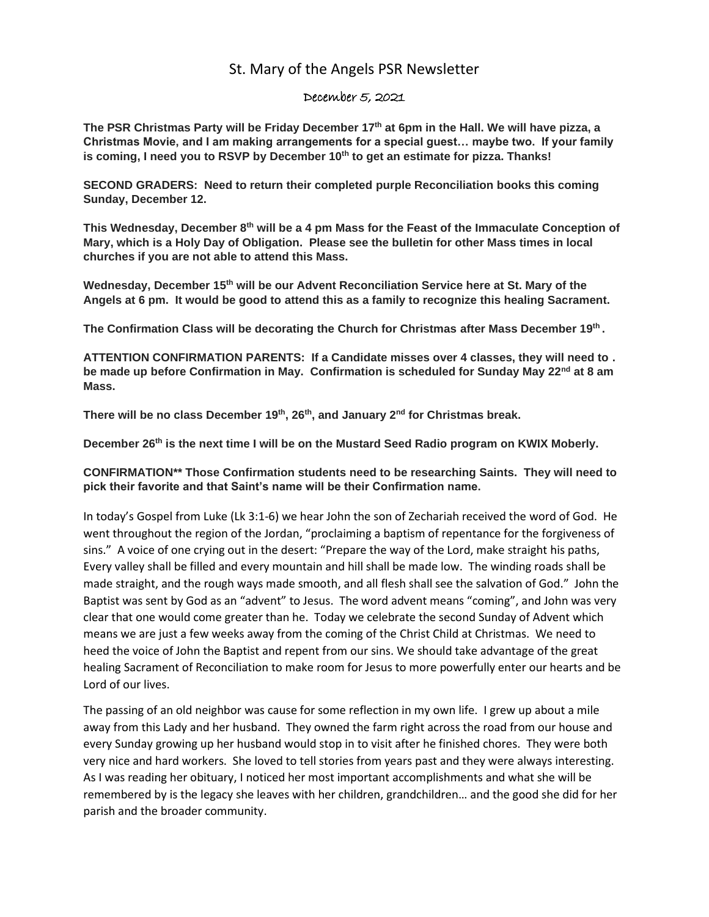## St. Mary of the Angels PSR Newsletter

## December 5, 2021

**The PSR Christmas Party will be Friday December 17th at 6pm in the Hall. We will have pizza, a Christmas Movie, and I am making arrangements for a special guest… maybe two. If your family is coming, I need you to RSVP by December 10th to get an estimate for pizza. Thanks!**

**SECOND GRADERS: Need to return their completed purple Reconciliation books this coming Sunday, December 12.** 

**This Wednesday, December 8th will be a 4 pm Mass for the Feast of the Immaculate Conception of Mary, which is a Holy Day of Obligation. Please see the bulletin for other Mass times in local churches if you are not able to attend this Mass.**

**Wednesday, December 15th will be our Advent Reconciliation Service here at St. Mary of the Angels at 6 pm. It would be good to attend this as a family to recognize this healing Sacrament.**

**The Confirmation Class will be decorating the Church for Christmas after Mass December 19th .**

**ATTENTION CONFIRMATION PARENTS: If a Candidate misses over 4 classes, they will need to . be made up before Confirmation in May. Confirmation is scheduled for Sunday May 22nd at 8 am Mass.** 

**There will be no class December 19th, 26th, and January 2nd for Christmas break.** 

**December 26th is the next time I will be on the Mustard Seed Radio program on KWIX Moberly.**

**CONFIRMATION\*\* Those Confirmation students need to be researching Saints. They will need to pick their favorite and that Saint's name will be their Confirmation name.**

In today's Gospel from Luke (Lk 3:1-6) we hear John the son of Zechariah received the word of God. He went throughout the region of the Jordan, "proclaiming a baptism of repentance for the forgiveness of sins." A voice of one crying out in the desert: "Prepare the way of the Lord, make straight his paths, Every valley shall be filled and every mountain and hill shall be made low. The winding roads shall be made straight, and the rough ways made smooth, and all flesh shall see the salvation of God." John the Baptist was sent by God as an "advent" to Jesus. The word advent means "coming", and John was very clear that one would come greater than he. Today we celebrate the second Sunday of Advent which means we are just a few weeks away from the coming of the Christ Child at Christmas. We need to heed the voice of John the Baptist and repent from our sins. We should take advantage of the great healing Sacrament of Reconciliation to make room for Jesus to more powerfully enter our hearts and be Lord of our lives.

The passing of an old neighbor was cause for some reflection in my own life. I grew up about a mile away from this Lady and her husband. They owned the farm right across the road from our house and every Sunday growing up her husband would stop in to visit after he finished chores. They were both very nice and hard workers. She loved to tell stories from years past and they were always interesting. As I was reading her obituary, I noticed her most important accomplishments and what she will be remembered by is the legacy she leaves with her children, grandchildren… and the good she did for her parish and the broader community.